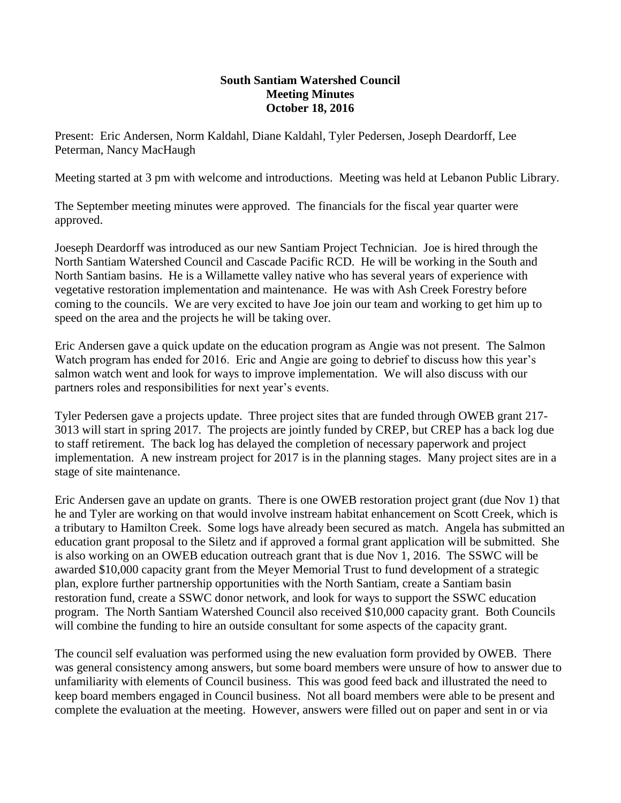## **South Santiam Watershed Council Meeting Minutes October 18, 2016**

Present: Eric Andersen, Norm Kaldahl, Diane Kaldahl, Tyler Pedersen, Joseph Deardorff, Lee Peterman, Nancy MacHaugh

Meeting started at 3 pm with welcome and introductions. Meeting was held at Lebanon Public Library.

The September meeting minutes were approved. The financials for the fiscal year quarter were approved.

Joeseph Deardorff was introduced as our new Santiam Project Technician. Joe is hired through the North Santiam Watershed Council and Cascade Pacific RCD. He will be working in the South and North Santiam basins. He is a Willamette valley native who has several years of experience with vegetative restoration implementation and maintenance. He was with Ash Creek Forestry before coming to the councils. We are very excited to have Joe join our team and working to get him up to speed on the area and the projects he will be taking over.

Eric Andersen gave a quick update on the education program as Angie was not present. The Salmon Watch program has ended for 2016. Eric and Angie are going to debrief to discuss how this year's salmon watch went and look for ways to improve implementation. We will also discuss with our partners roles and responsibilities for next year's events.

Tyler Pedersen gave a projects update. Three project sites that are funded through OWEB grant 217- 3013 will start in spring 2017. The projects are jointly funded by CREP, but CREP has a back log due to staff retirement. The back log has delayed the completion of necessary paperwork and project implementation. A new instream project for 2017 is in the planning stages. Many project sites are in a stage of site maintenance.

Eric Andersen gave an update on grants. There is one OWEB restoration project grant (due Nov 1) that he and Tyler are working on that would involve instream habitat enhancement on Scott Creek, which is a tributary to Hamilton Creek. Some logs have already been secured as match. Angela has submitted an education grant proposal to the Siletz and if approved a formal grant application will be submitted. She is also working on an OWEB education outreach grant that is due Nov 1, 2016. The SSWC will be awarded \$10,000 capacity grant from the Meyer Memorial Trust to fund development of a strategic plan, explore further partnership opportunities with the North Santiam, create a Santiam basin restoration fund, create a SSWC donor network, and look for ways to support the SSWC education program. The North Santiam Watershed Council also received \$10,000 capacity grant. Both Councils will combine the funding to hire an outside consultant for some aspects of the capacity grant.

The council self evaluation was performed using the new evaluation form provided by OWEB. There was general consistency among answers, but some board members were unsure of how to answer due to unfamiliarity with elements of Council business. This was good feed back and illustrated the need to keep board members engaged in Council business. Not all board members were able to be present and complete the evaluation at the meeting. However, answers were filled out on paper and sent in or via